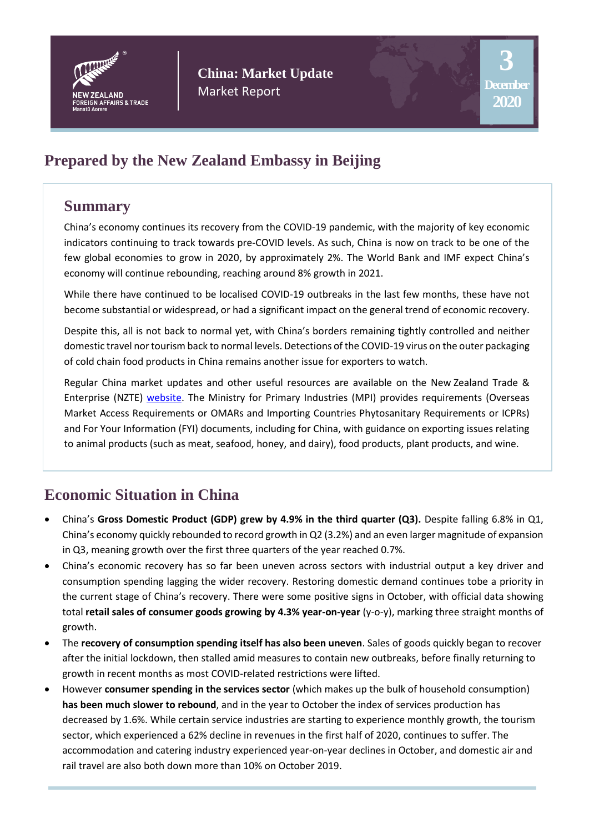

**China: Market Update** Market Report

# **Prepared by the New Zealand Embassy in Beijing**

## **Summary**

China's economy continues its recovery from the COVID-19 pandemic, with the majority of key economic indicators continuing to track towards pre-COVID levels. As such, China is now on track to be one of the few global economies to grow in 2020, by approximately 2%. The World Bank and IMF expect China's economy will continue rebounding, reaching around 8% growth in 2021.

While there have continued to be localised COVID-19 outbreaks in the last few months, these have not become substantial or widespread, or had a significant impact on the general trend of economic recovery.

Despite this, all is not back to normal yet, with China's borders remaining tightly controlled and neither domestic travel nor tourism back to normal levels. Detections of the COVID-19 virus on the outer packaging of cold chain food products in China remains another issue for exporters to watch.

Regular China market updates and other useful resources are available on the New Zealand Trade & Enterprise (NZTE) [website.](https://covid19.nzte.govt.nz/blog?market=all-of-asia&market=greater-china) The Ministry for Primary Industries (MPI) provides requirements (Overseas Market Access Requirements or [OMARs](https://www.mpi.govt.nz/export/omars/animal-products-wine/search-country-animal-products-wine-organics/china/) and Importing Countries Phytosanitary Requirements or [ICPRs\)](https://www.mpi.govt.nz/dmsdocument/630-China) and [For Your Information \(FYI\)](https://www.mpi.govt.nz/exporting/overseas-market-access-requirements-omars/for-your-information-fyi-documents/?utm_source=notification-email) documents, including for China, with guidance on exporting issues relating to animal products (such as meat, seafood, honey, and dairy), food products, plant products, and wine.

# **Economic Situation in China**

- China's **Gross Domestic Product (GDP) grew by 4.9% in the third quarter (Q3).** Despite falling 6.8% in Q1, China's economy quickly rebounded to record growth in Q2 (3.2%) and an even larger magnitude of expansion in Q3, meaning growth over the first three quarters of the year reached 0.7%.
- China's economic recovery has so far been uneven across sectors with industrial output a key driver and consumption spending lagging the wider recovery. Restoring domestic demand continues tobe a priority in the current stage of China's recovery. There were some positive signs in October, with official data showing total **retail sales of consumer goods growing by 4.3% year-on-year** (y-o-y), marking three straight months of growth.
- The **recovery of consumption spending itself has also been uneven**. Sales of goods quickly began to recover after the initial lockdown, then stalled amid measures to contain new outbreaks, before finally returning to growth in recent months as most COVID-related restrictions were lifted.
- However **consumer spending in the services sector** (which makes up the bulk of household consumption) **has been much slower to rebound**, and in the year to October the index of services production has decreased by 1.6%. While certain service industries are starting to experience monthly growth, the tourism sector, which experienced a 62% decline in revenues in the first half of 2020, continues to suffer. The accommodation and catering industry experienced year-on-year declines in October, and domestic air and rail travel are also both down more than 10% on October 2019.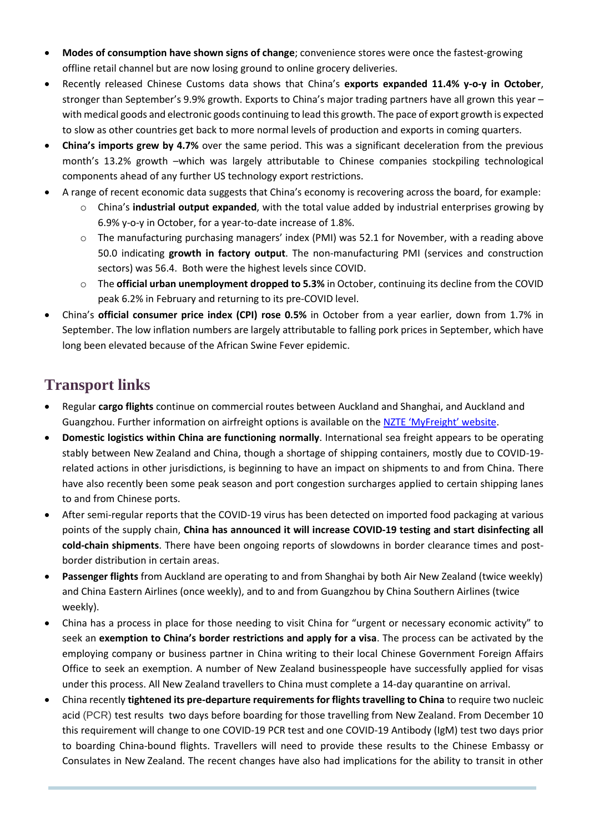- **Modes of consumption have shown signs of change**; convenience stores were once the fastest-growing offline retail channel but are now losing ground to online grocery deliveries.
- Recently released Chinese Customs data shows that China's **exports expanded 11.4% y-o-y in October**, stronger than September's 9.9% growth. Exports to China's major trading partners have all grown this year – with medical goods and electronic goods continuing to lead this growth. The pace of export growth is expected to slow as other countries get back to more normal levels of production and exports in coming quarters.
- **China's imports grew by 4.7%** over the same period. This was a significant deceleration from the previous month's 13.2% growth –which was largely attributable to Chinese companies stockpiling technological components ahead of any further US technology export restrictions.
- A range of recent economic data suggests that China's economy is recovering across the board, for example:
	- o China's **industrial output expanded**, with the total value added by industrial enterprises growing by 6.9% y-o-y in October, for a year-to-date increase of 1.8%.
	- $\circ$  The manufacturing purchasing managers' index (PMI) was 52.1 for November, with a reading above 50.0 indicating **growth in factory output**. The non-manufacturing PMI (services and construction sectors) was 56.4. Both were the highest levels since COVID.
	- o The **official urban unemployment dropped to 5.3%** in October, continuing its decline from the COVID peak 6.2% in February and returning to its pre-COVID level.
- China's **official consumer price index (CPI) rose 0.5%** in October from a year earlier, down from 1.7% in September. The low inflation numbers are largely attributable to falling pork prices in September, which have long been elevated because of the African Swine Fever epidemic.

# **Transport links**

- Regular **cargo flights** continue on commercial routes between Auckland and Shanghai, and Auckland and Guangzhou. Further information on airfreight options is available on the [NZTE 'MyFreight' website](https://covid19.nzte.govt.nz/page/air-freight-option-for-immediate-export/).
- **Domestic logistics within China are functioning normally**. International sea freight appears to be operating stably between New Zealand and China, though a shortage of shipping containers, mostly due to COVID-19 related actions in other jurisdictions, is beginning to have an impact on shipments to and from China. There have also recently been some peak season and port congestion surcharges applied to certain shipping lanes to and from Chinese ports.
- After semi-regular reports that the COVID-19 virus has been detected on imported food packaging at various points of the supply chain, **China has announced it will increase COVID-19 testing and start disinfecting all cold-chain shipments**. There have been ongoing reports of slowdowns in border clearance times and postborder distribution in certain areas.
- **Passenger flights** from Auckland are operating to and from Shanghai by both Air New Zealand (twice weekly) and China Eastern Airlines (once weekly), and to and from Guangzhou by China Southern Airlines (twice weekly).
- China has a process in place for those needing to visit China for "urgent or necessary economic activity" to seek an **exemption to China's border restrictions and apply for a visa**. The process can be activated by the employing company or business partner in China writing to their local Chinese Government Foreign Affairs Office to seek an exemption. A number of New Zealand businesspeople have successfully applied for visas under this process. All New Zealand travellers to China must complete a 14-day quarantine on arrival.
- China recently **tightened its pre-departure requirements for flights travelling to China** to require two nucleic acid (PCR) test results two days before boarding for those travelling from New Zealand. From December 10 this requirement will change to one COVID-19 PCR test and one COVID-19 Antibody (IgM) test two days prior to boarding China-bound flights. Travellers will need to provide these results to the Chinese Embassy or Consulates in New Zealand. The recent changes have also had implications for the ability to transit in other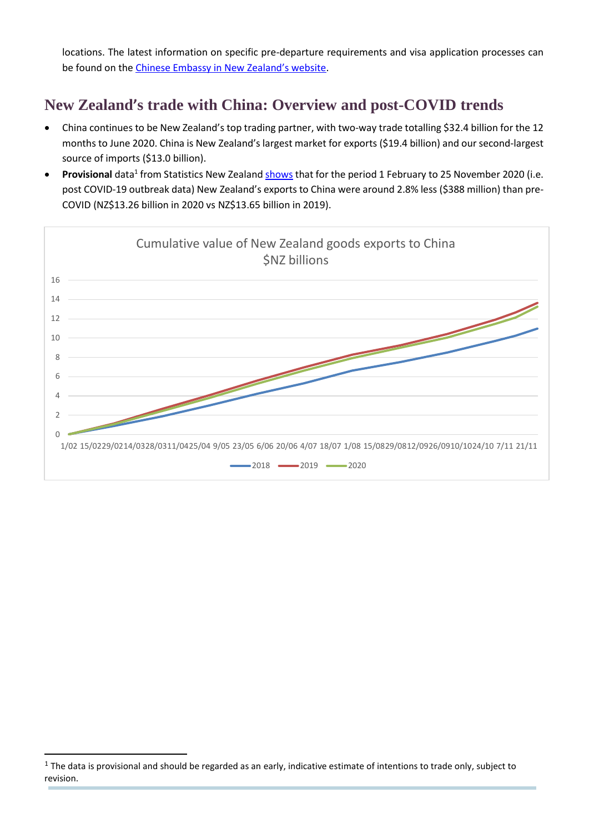locations. The latest information on specific pre-departure requirements and visa application processes can be found on the [Chinese Embassy in New](http://www.chinaembassy.org.nz/) Zealand's website.

# **New Zealand's trade with China: Overview and post-COVID trends**

- China continues to be New Zealand's top trading partner, with two-way trade totalling \$32.4 billion for the 12 months to June 2020. China is New Zealand's largest market for exports (\$19.4 billion) and our second-largest source of imports (\$13.0 billion).
- **Provisional** data<sup>1</sup> from Statistics New Zealan[d shows](https://www.stats.govt.nz/information-releases/effects-of-covid-19-on-trade-1-february-11-november-2020-provisional) that for the period 1 February to 25 November 2020 (i.e. post COVID-19 outbreak data) New Zealand's exports to China were around 2.8% less (\$388 million) than pre-COVID (NZ\$13.26 billion in 2020 vs NZ\$13.65 billion in 2019).



1

 $<sup>1</sup>$  The data is provisional and should be regarded as an early, indicative estimate of intentions to trade only, subject to</sup> revision.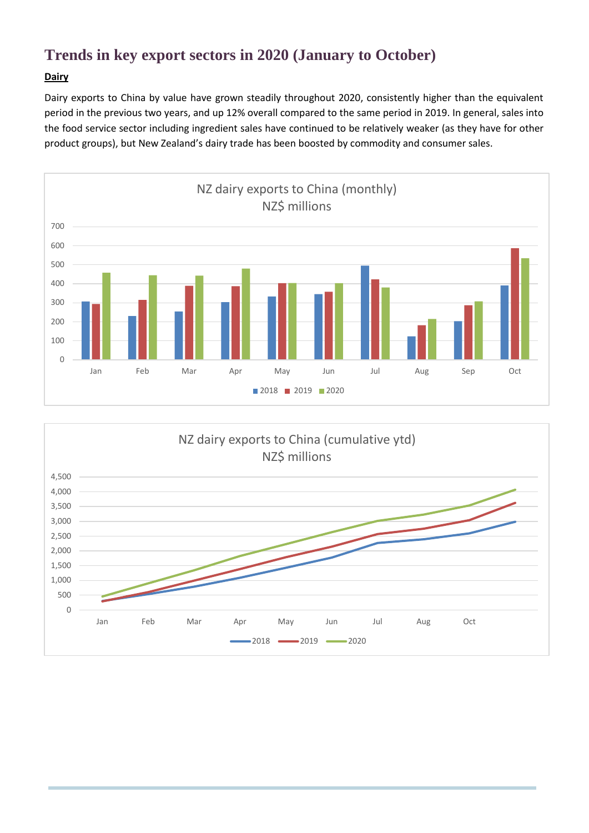# **Trends in key export sectors in 2020 (January to October)**

### **Dairy**

Dairy exports to China by value have grown steadily throughout 2020, consistently higher than the equivalent period in the previous two years, and up 12% overall compared to the same period in 2019. In general, sales into the food service sector including ingredient sales have continued to be relatively weaker (as they have for other product groups), but New Zealand's dairy trade has been boosted by commodity and consumer sales.



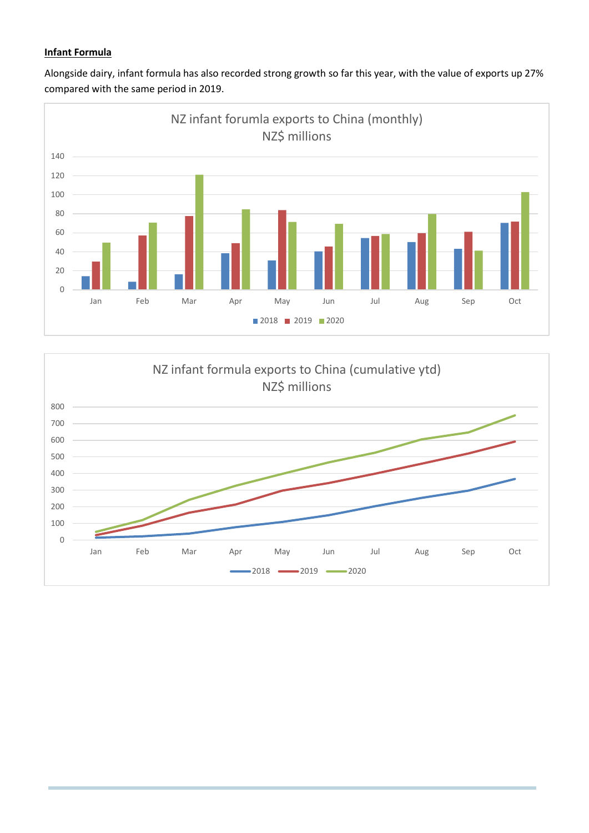### **Infant Formula**





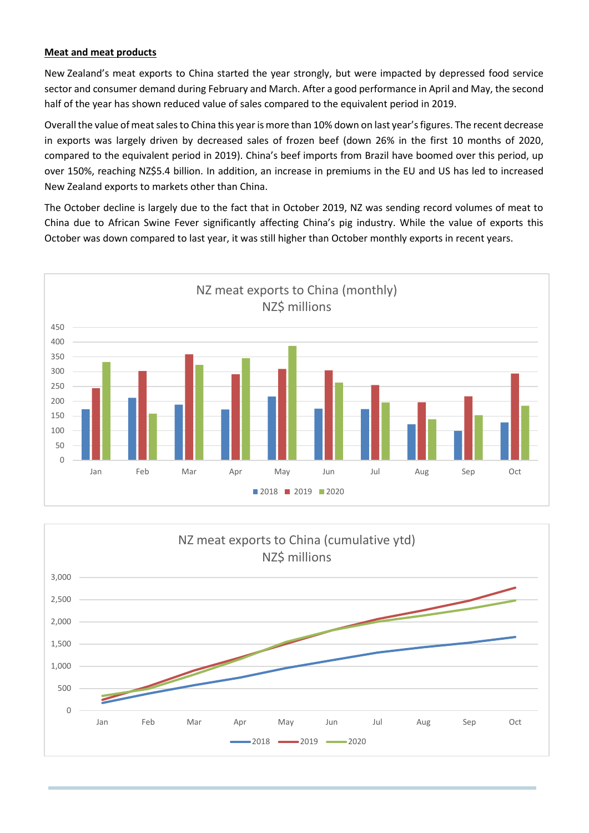#### **Meat and meat products**

New Zealand's meat exports to China started the year strongly, but were impacted by depressed food service sector and consumer demand during February and March. After a good performance in April and May, the second half of the year has shown reduced value of sales compared to the equivalent period in 2019.

Overall the value of meat sales to China this year is more than 10% down on last year's figures. The recent decrease in exports was largely driven by decreased sales of frozen beef (down 26% in the first 10 months of 2020, compared to the equivalent period in 2019). China's beef imports from Brazil have boomed over this period, up over 150%, reaching NZ\$5.4 billion. In addition, an increase in premiums in the EU and US has led to increased New Zealand exports to markets other than China.

The October decline is largely due to the fact that in October 2019, NZ was sending record volumes of meat to China due to African Swine Fever significantly affecting China's pig industry. While the value of exports this October was down compared to last year, it was still higher than October monthly exports in recent years.



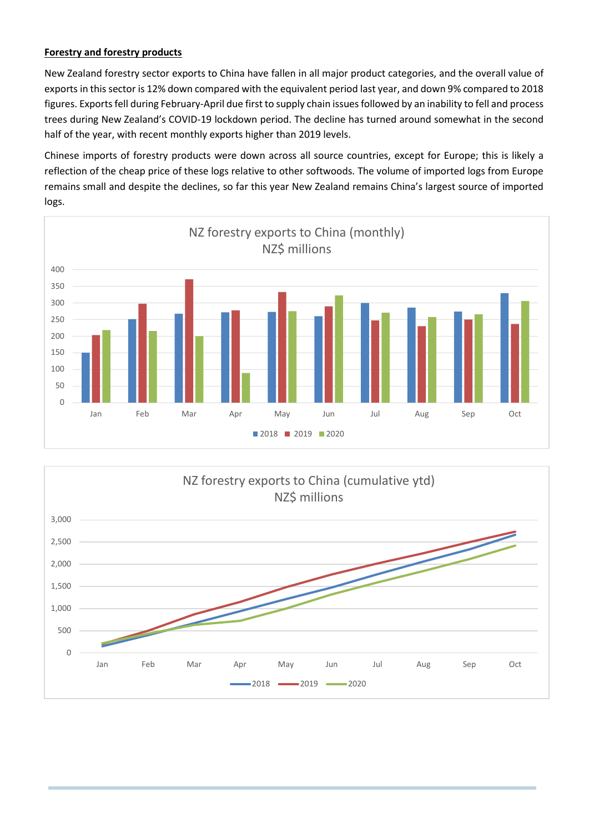#### **Forestry and forestry products**

New Zealand forestry sector exports to China have fallen in all major product categories, and the overall value of exports in this sector is 12% down compared with the equivalent period last year, and down 9% compared to 2018 figures. Exports fell during February-April due first to supply chain issues followed by an inability to fell and process trees during New Zealand's COVID-19 lockdown period. The decline has turned around somewhat in the second half of the year, with recent monthly exports higher than 2019 levels.

Chinese imports of forestry products were down across all source countries, except for Europe; this is likely a reflection of the cheap price of these logs relative to other softwoods. The volume of imported logs from Europe remains small and despite the declines, so far this year New Zealand remains China's largest source of imported logs.



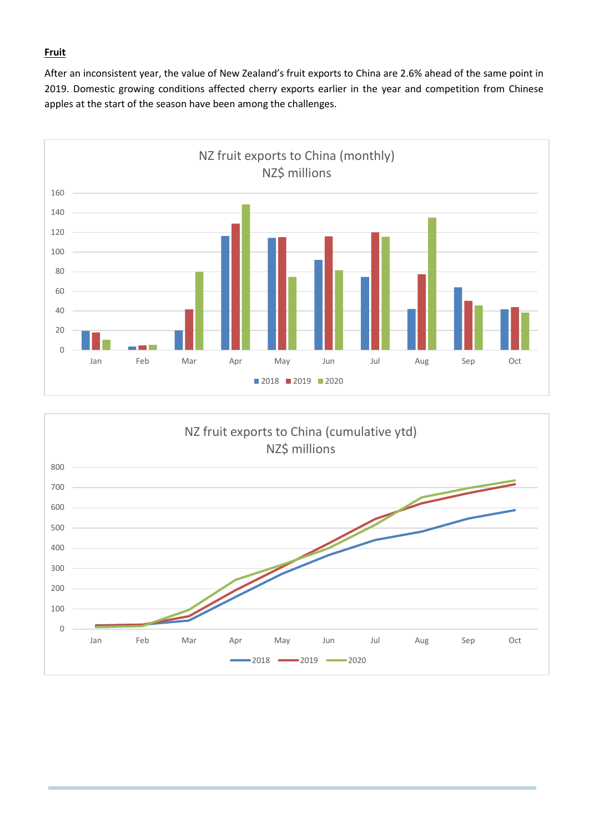#### **Fruit**

After an inconsistent year, the value of New Zealand's fruit exports to China are 2.6% ahead of the same point in 2019. Domestic growing conditions affected cherry exports earlier in the year and competition from Chinese apples at the start of the season have been among the challenges.



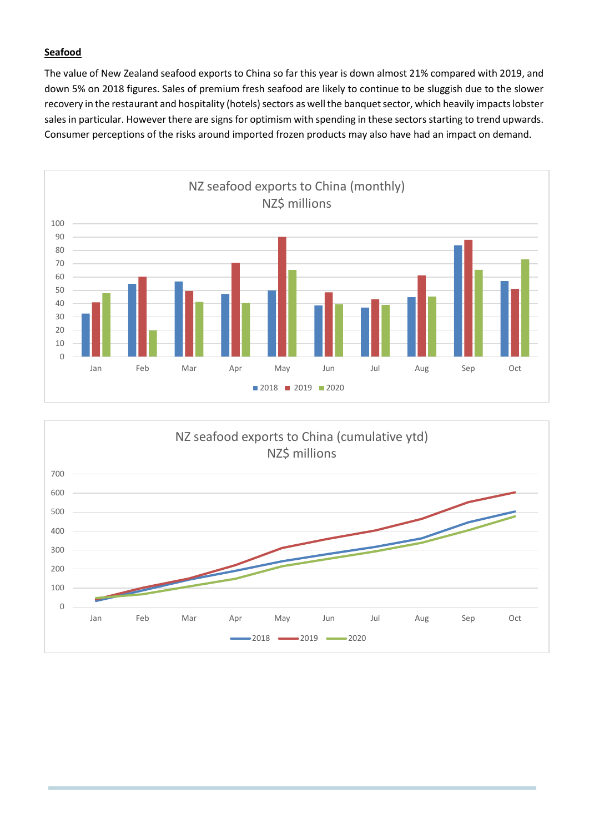### **Seafood**

The value of New Zealand seafood exports to China so far this year is down almost 21% compared with 2019, and down 5% on 2018 figures. Sales of premium fresh seafood are likely to continue to be sluggish due to the slower recovery in the restaurant and hospitality (hotels) sectors as well the banquet sector, which heavily impacts lobster sales in particular. However there are signs for optimism with spending in these sectors starting to trend upwards. Consumer perceptions of the risks around imported frozen products may also have had an impact on demand.



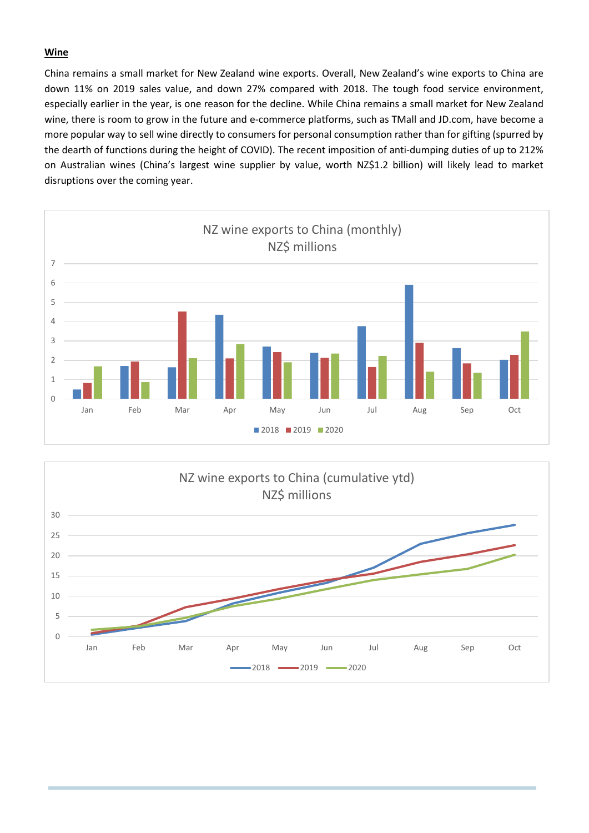#### **Wine**

China remains a small market for New Zealand wine exports. Overall, New Zealand's wine exports to China are down 11% on 2019 sales value, and down 27% compared with 2018. The tough food service environment, especially earlier in the year, is one reason for the decline. While China remains a small market for New Zealand wine, there is room to grow in the future and e-commerce platforms, such as TMall and JD.com, have become a more popular way to sell wine directly to consumers for personal consumption rather than for gifting (spurred by the dearth of functions during the height of COVID). The recent imposition of anti-dumping duties of up to 212% on Australian wines (China's largest wine supplier by value, worth NZ\$1.2 billion) will likely lead to market disruptions over the coming year.